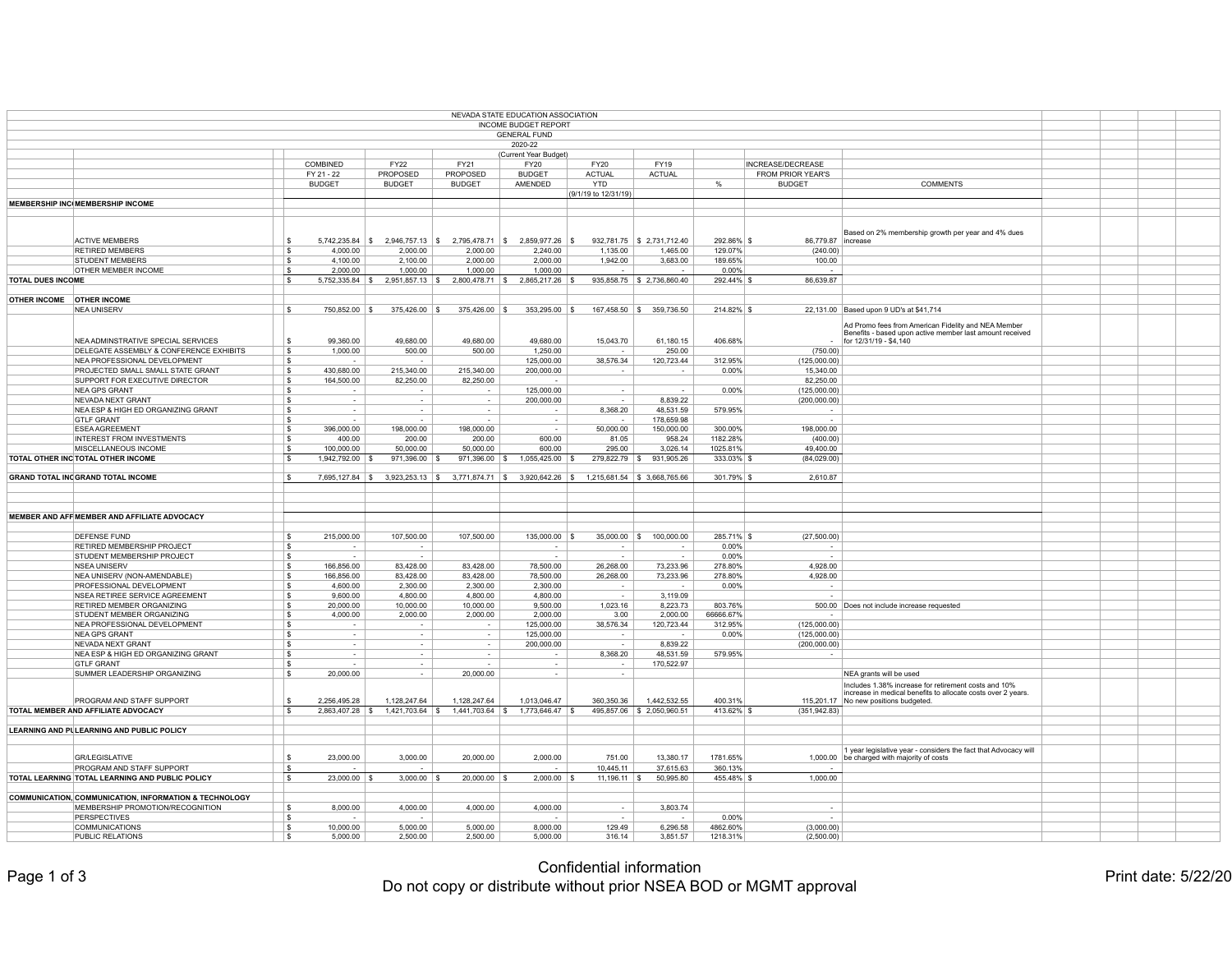| NEVADA STATE EDUCATION ASSOCIATION |                                                                   |            |                        |                          |                                     |                                                       |                               |                                       |                      |                                                                                                                 |  |  |
|------------------------------------|-------------------------------------------------------------------|------------|------------------------|--------------------------|-------------------------------------|-------------------------------------------------------|-------------------------------|---------------------------------------|----------------------|-----------------------------------------------------------------------------------------------------------------|--|--|
| <b>INCOME BUDGET REPORT</b>        |                                                                   |            |                        |                          |                                     |                                                       |                               |                                       |                      |                                                                                                                 |  |  |
|                                    |                                                                   |            |                        |                          |                                     | <b>GENERAL FUND</b>                                   |                               |                                       |                      |                                                                                                                 |  |  |
|                                    |                                                                   |            |                        |                          |                                     | 2020-22                                               |                               |                                       |                      |                                                                                                                 |  |  |
|                                    |                                                                   |            | <b>COMBINED</b>        | <b>FY22</b>              | <b>FY21</b>                         | (Current Year Budget)<br><b>FY20</b>                  | <b>FY20</b>                   | <b>FY19</b>                           |                      | INCREASE/DECREASE                                                                                               |  |  |
|                                    |                                                                   | FY 21 - 22 |                        | <b>PROPOSED</b>          | <b>PROPOSED</b>                     | <b>BUDGET</b>                                         | <b>ACTUAL</b>                 | <b>ACTUAL</b>                         |                      | <b>FROM PRIOR YEAR'S</b>                                                                                        |  |  |
|                                    |                                                                   |            | <b>BUDGET</b>          | <b>BUDGET</b>            | <b>BUDGET</b>                       | AMENDED                                               | <b>YTD</b>                    |                                       |                      | <b>COMMENTS</b><br><b>BUDGET</b>                                                                                |  |  |
|                                    |                                                                   |            |                        |                          |                                     |                                                       | (9/1/19 to 12/31/19)          |                                       |                      |                                                                                                                 |  |  |
|                                    | <b>MEMBERSHIP INC MEMBERSHIP INCOME</b>                           |            |                        |                          |                                     |                                                       |                               |                                       |                      |                                                                                                                 |  |  |
|                                    |                                                                   |            |                        |                          |                                     |                                                       |                               |                                       |                      |                                                                                                                 |  |  |
|                                    |                                                                   |            |                        |                          |                                     |                                                       |                               |                                       |                      |                                                                                                                 |  |  |
|                                    |                                                                   |            |                        |                          |                                     |                                                       |                               |                                       |                      | Based on 2% membership growth per year and 4% dues                                                              |  |  |
|                                    | <b>ACTIVE MEMBERS</b>                                             |            | $5,742,235.84$ \ \$    |                          | 2,946,757.13 \$2,795,478.71 \$      | $2,859,977.26$ \\$                                    |                               | $932,781.75$ \$ 2,731,712.40          | $292.86\%$ \$        | 86,779.87   increase                                                                                            |  |  |
|                                    | <b>RETIRED MEMBERS</b>                                            |            | 4,000.00               | 2,000.00                 | 2,000.00                            | 2,240.00                                              | 1,135.00                      | 1,465.00                              | 129.07%              | (240.00)                                                                                                        |  |  |
|                                    | <b>STUDENT MEMBERS</b><br><b>OTHER MEMBER INCOME</b>              |            | 4,100.00<br>2,000.00   | 2,100.00<br>1,000.00     | 2,000.00<br>1,000.00                | 2,000.00<br>1,000.00                                  | 1,942.00                      | 3,683.00                              | 189.65%<br>$0.00\%$  | 100.00                                                                                                          |  |  |
| <b>TOTAL DUES INCOME</b>           |                                                                   |            | 5,752,335.84           | $2,951,857.13$ \$        | $2,800,478.71$ \$                   | $2,865,217.26$ \\$                                    |                               | $935,858.75$ \$ 2,736,860.40          | $292.44\%$ \$        | $\sim$<br>86,639.87                                                                                             |  |  |
|                                    |                                                                   |            |                        |                          |                                     |                                                       |                               |                                       |                      |                                                                                                                 |  |  |
| OTHER INCOME   OTHER INCOME        |                                                                   |            |                        |                          |                                     |                                                       |                               |                                       |                      |                                                                                                                 |  |  |
|                                    | <b>NEA UNISERV</b>                                                |            | 750,852.00             | $375,426.00$ \ \$        | $375,426.00$ \ \$                   | $353,295.00$ \ \$                                     |                               | $167,458.50$ $\frac{1}{9}$ 359,736.50 | $214.82\%$ \$        | 22,131.00 Based upon 9 UD's at \$41,714                                                                         |  |  |
|                                    |                                                                   |            |                        |                          |                                     |                                                       |                               |                                       |                      |                                                                                                                 |  |  |
|                                    |                                                                   |            |                        |                          |                                     |                                                       |                               |                                       |                      | Ad Promo fees from American Fidelity and NEA Member<br>Benefits - based upon active member last amount received |  |  |
|                                    | NEA ADMINSTRATIVE SPECIAL SERVICES                                |            | 99,360.00              | 49,680.00                | 49,680.00                           | 49,680.00                                             | 15,043.70                     | 61,180.15                             | 406.68%              | for $12/31/19 - $4,140$                                                                                         |  |  |
|                                    | <b>DELEGATE ASSEMBLY &amp; CONFERENCE EXHIBITS</b>                |            | 1,000.00               | 500.00                   | 500.00                              | 1,250.00                                              |                               | 250.00                                |                      | (750.00)                                                                                                        |  |  |
|                                    | NEA PROFESSIONAL DEVELOPMENT                                      |            | $\sim$                 | $\sim$ $-$               |                                     | 125,000.00                                            | 38,576.34                     | 120,723.44                            | 312.95%              | (125,000.00)                                                                                                    |  |  |
|                                    | <b>PROJECTED SMALL SMALL STATE GRANT</b>                          | \$         | 430,680.00             | 215,340.00               | 215,340.00                          | 200,000.00                                            |                               |                                       | $0.00\%$             | 15,340.00                                                                                                       |  |  |
|                                    | SUPPORT FOR EXECUTIVE DIRECTOR                                    |            | 164,500.00             | 82,250.00                | 82,250.00                           |                                                       |                               |                                       |                      | 82,250.00                                                                                                       |  |  |
|                                    | NEA GPS GRANT                                                     |            |                        | $\sim$                   |                                     | 125,000.00                                            | $\sim$ $ \sim$                | $\sim$ $-$                            | $0.00\%$             | (125,000.00)                                                                                                    |  |  |
|                                    | NEVADA NEXT GRANT                                                 |            | $\sim$ $-$             | $\sim$                   | $\sim$ $-$                          | 200,000.00                                            | $\sim$ $ \sim$                | 8,839.22                              |                      | (200,000.00)                                                                                                    |  |  |
|                                    | <b>NEA ESP &amp; HIGH ED ORGANIZING GRANT</b>                     |            | $\sim$                 | $\sim$ $-$               |                                     |                                                       | 8,368.20                      | 48,531.59                             | 579.95%              | $\sim$                                                                                                          |  |  |
|                                    | <b>GTLF GRANT</b>                                                 |            |                        | $\sim$                   |                                     |                                                       |                               | 178,659.98                            |                      |                                                                                                                 |  |  |
|                                    | <b>ESEA AGREEMENT</b>                                             |            | 396,000.00             | 198,000.00               | 198,000.00                          |                                                       | 50,000.00                     | 150,000.00                            | 300.00%              | 198,000.00                                                                                                      |  |  |
|                                    | <b>INTEREST FROM INVESTMENTS</b><br><b>MISCELLANEOUS INCOME</b>   |            | 400.00<br>100,000.00   | 200.00<br>50,000.00      | 200.00<br>50,000.00                 | 600.00<br>600.00                                      | 81.05<br>295.00               | 958.24<br>3,026.14                    | 1182.28%<br>1025.81% | (400.00)<br>49,400.00                                                                                           |  |  |
|                                    | <b>TOTAL OTHER INC TOTAL OTHER INCOME</b>                         |            | 1,942,792.00           | $971,396.00$ \\$         | $971,396.00$ \$                     | 1,055,425.00                                          | $279,822.79$ \$               | 931,905.26                            | $333.03\%$ \$        | (84,029.00)                                                                                                     |  |  |
|                                    |                                                                   |            |                        |                          |                                     |                                                       |                               |                                       |                      |                                                                                                                 |  |  |
|                                    | <b>GRAND TOTAL INC GRAND TOTAL INCOME</b>                         |            | 7,695,127.84           |                          |                                     | $3,923,253.13$ \$ $3,771,874.71$ \$ $3,920,642.26$ \$ | 1,215,681.54 \\$ 3,668,765.66 |                                       | $301.79\%$ \$        | 2,610.87                                                                                                        |  |  |
|                                    |                                                                   |            |                        |                          |                                     |                                                       |                               |                                       |                      |                                                                                                                 |  |  |
|                                    |                                                                   |            |                        |                          |                                     |                                                       |                               |                                       |                      |                                                                                                                 |  |  |
|                                    |                                                                   |            |                        |                          |                                     |                                                       |                               |                                       |                      |                                                                                                                 |  |  |
|                                    | <b>MEMBER AND AFF MEMBER AND AFFILIATE ADVOCACY</b>               |            |                        |                          |                                     |                                                       |                               |                                       |                      |                                                                                                                 |  |  |
|                                    |                                                                   |            |                        |                          |                                     |                                                       |                               |                                       |                      |                                                                                                                 |  |  |
|                                    | <b>DEFENSE FUND</b>                                               |            | 215,000.00             | 107,500.00               | 107,500.00                          | $135,000.00$ \ \$                                     | $35,000.00$ \$                | 100,000.00                            | $285.71\%$ \$        | (27,500.00)                                                                                                     |  |  |
|                                    | <b>RETIRED MEMBERSHIP PROJECT</b>                                 |            | $\sim$                 | $\sim$                   |                                     |                                                       |                               |                                       | $0.00\%$             |                                                                                                                 |  |  |
|                                    | <b>STUDENT MEMBERSHIP PROJECT</b>                                 |            | $\sim$                 | $\sim$                   |                                     |                                                       |                               |                                       | 0.00%                |                                                                                                                 |  |  |
|                                    | <b>NSEA UNISERV</b>                                               |            | 166,856.00             | 83,428.00                | 83,428.00                           | 78,500.00                                             | 26,268.00                     | 73,233.96                             | 278.80%<br>278.80%   | 4,928.00                                                                                                        |  |  |
|                                    | NEA UNISERV (NON-AMENDABLE)<br><b>PROFESSIONAL DEVELOPMENT</b>    |            | 166,856.00<br>4,600.00 | 83,428.00<br>2,300.00    | 83,428.00<br>2,300.00               | 78,500.00<br>2,300.00                                 | 26,268.00                     | 73,233.96                             | 0.00%                | 4,928.00                                                                                                        |  |  |
|                                    | NSEA RETIREE SERVICE AGREEMENT                                    |            | 9,600.00               | 4,800.00                 | 4,800.00                            | 4,800.00                                              | $\sim$                        | 3,119.09                              |                      |                                                                                                                 |  |  |
|                                    | <b>RETIRED MEMBER ORGANIZING</b>                                  |            | 20,000.00              | 10,000.00                | 10,000.00                           | 9,500.00                                              | 1,023.16                      | 8,223.73                              | 803.76%              | 500.00 Does not include increase requested                                                                      |  |  |
|                                    | <b>STUDENT MEMBER ORGANIZING</b>                                  |            | 4,000.00               | 2,000.00                 | 2,000.00                            | 2,000.00                                              | 3.00                          | 2,000.00                              | 66666.67%            |                                                                                                                 |  |  |
|                                    | NEA PROFESSIONAL DEVELOPMENT                                      |            |                        |                          |                                     | 125,000.00                                            | 38,576.34                     | 120,723.44                            | 312.95%              | (125,000.00)                                                                                                    |  |  |
|                                    | <b>NEA GPS GRANT</b>                                              |            |                        | $\overline{\phantom{0}}$ |                                     | 125,000.00                                            |                               |                                       | $0.00\%$             | (125,000.00)                                                                                                    |  |  |
|                                    | NEVADA NEXT GRANT                                                 |            |                        |                          |                                     | 200,000.00                                            |                               | 8,839.22                              |                      | (200,000.00)                                                                                                    |  |  |
|                                    | NEA ESP & HIGH ED ORGANIZING GRANT                                |            |                        | $\overline{\phantom{0}}$ |                                     |                                                       | 8,368.20                      | 48,531.59                             | 579.95%              |                                                                                                                 |  |  |
|                                    | <b>GTLF GRANT</b>                                                 |            |                        | $\sim$                   |                                     |                                                       |                               | 170,522.97                            |                      |                                                                                                                 |  |  |
|                                    | SUMMER LEADERSHIP ORGANIZING                                      |            | 20,000.00              | $\sim$                   | 20,000.00                           | $\sim$                                                |                               |                                       |                      | NEA grants will be used                                                                                         |  |  |
|                                    |                                                                   |            |                        |                          |                                     |                                                       |                               |                                       |                      | Includes 1.38% increase for retirement costs and 10%                                                            |  |  |
|                                    | <b>PROGRAM AND STAFF SUPPORT</b>                                  |            | 2,256,495.28           | 1,128,247.64             | 1,128,247.64                        | 1,013,046.47                                          | 360,350.36                    | 1,442,532.55                          | 400.31%              | increase in medical benefits to allocate costs over 2 years.<br>115,201.17 No new positions budgeted.           |  |  |
|                                    | <b>TOTAL MEMBER AND AFFILIATE ADVOCACY</b>                        |            | $2,863,407.28$ \\$     |                          | $1,421,703.64$ \\$ 1,441,703.64 \\$ | 1,773,646.47 \$                                       |                               | 495,857.06 \$ 2,050,960.51            | 413.62% \$           | (351, 942.83)                                                                                                   |  |  |
|                                    |                                                                   |            |                        |                          |                                     |                                                       |                               |                                       |                      |                                                                                                                 |  |  |
|                                    | LEARNING AND PULEARNING AND PUBLIC POLICY                         |            |                        |                          |                                     |                                                       |                               |                                       |                      |                                                                                                                 |  |  |
|                                    |                                                                   |            |                        |                          |                                     |                                                       |                               |                                       |                      |                                                                                                                 |  |  |
|                                    |                                                                   |            |                        |                          |                                     |                                                       |                               |                                       |                      | 1 year legislative year - considers the fact that Advocacy will                                                 |  |  |
|                                    | <b>GR/LEGISLATIVE</b>                                             |            | 23,000.00              | 3,000.00                 | 20,000.00                           | 2,000.00                                              | 751.00                        | 13,380.17                             | 1781.65%             | 1,000.00 be charged with majority of costs                                                                      |  |  |
|                                    | <b>PROGRAM AND STAFF SUPPORT</b>                                  |            |                        | $\sim$                   |                                     | $\sim$                                                | 10,445.11                     | 37,615.63                             | 360.13%              |                                                                                                                 |  |  |
|                                    | <b>TOTAL LEARNING TOTAL LEARNING AND PUBLIC POLICY</b>            |            | $23,000.00$ \ \$       | $3,000.00$ \ \$          | $20,000.00$ \\$                     | $2,000.00$ \ \$                                       | $11,196.11$ \\$               | 50,995.80                             | 455.48% \$           | 1,000.00                                                                                                        |  |  |
|                                    |                                                                   |            |                        |                          |                                     |                                                       |                               |                                       |                      |                                                                                                                 |  |  |
|                                    | <b>COMMUNICATION, COMMUNICATION, INFORMATION &amp; TECHNOLOGY</b> |            |                        |                          |                                     |                                                       |                               |                                       |                      |                                                                                                                 |  |  |
|                                    | MEMBERSHIP PROMOTION/RECOGNITION<br><b>PERSPECTIVES</b>           |            | 8,000.00               | 4,000.00                 | 4,000.00                            | 4,000.00                                              | $\sim$ $ \sim$                | 3,803.74                              |                      | $\sim$                                                                                                          |  |  |
|                                    | <b>COMMUNICATIONS</b>                                             |            | 10,000.00              | $\sim$<br>5,000.00       |                                     | 8,000.00                                              | 129.49                        | 6,296.58                              | $0.00\%$<br>4862.60% | (3,000.00)                                                                                                      |  |  |
|                                    | <b>PUBLIC RELATIONS</b>                                           |            | 5,000.00               | 2,500.00                 | 5,000.00<br>2,500.00                | 5,000.00                                              | 316.14                        | 3,851.57                              | 1218.31%             | (2,500.00)                                                                                                      |  |  |
|                                    |                                                                   |            |                        |                          |                                     |                                                       |                               |                                       |                      |                                                                                                                 |  |  |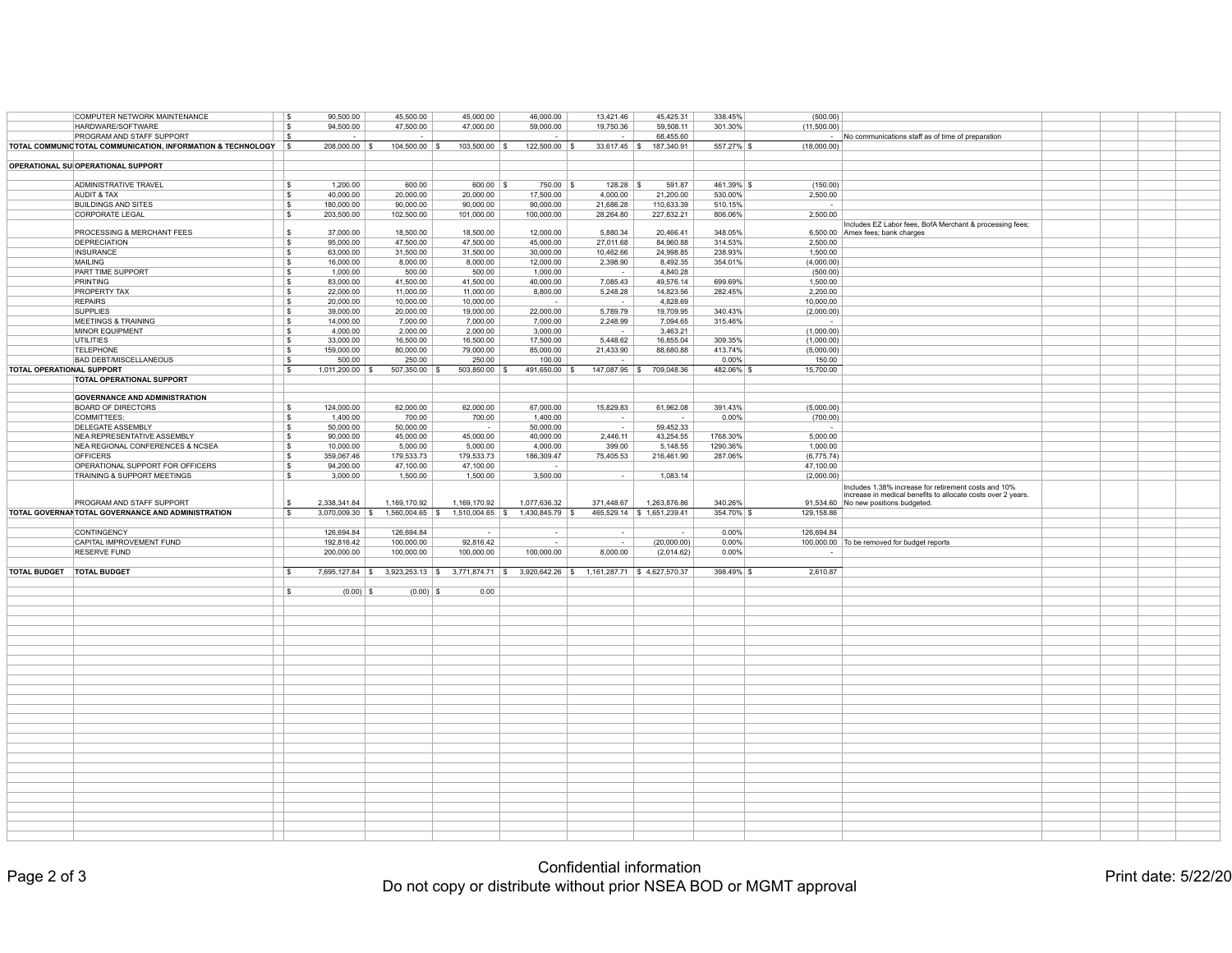|                                  | COMPUTER NETWORK MAINTENANCE                                 |      | 90,500.00          | 45,500.00         | 45,000.00          | 46,000.00            | 13,421.46                      | 45,425.31                   | 338.45%       | (500.00)    |                                                                                                      |  |  |
|----------------------------------|--------------------------------------------------------------|------|--------------------|-------------------|--------------------|----------------------|--------------------------------|-----------------------------|---------------|-------------|------------------------------------------------------------------------------------------------------|--|--|
|                                  | HARDWARE/SOFTWARE                                            |      | 94,500.00          | 47,500.00         | 47,000.00          | 59,000.00            | 19,750.36                      | 59,508.11                   | 301.30%       | (11,500.00) |                                                                                                      |  |  |
|                                  |                                                              |      |                    |                   |                    |                      |                                |                             |               |             |                                                                                                      |  |  |
|                                  | <b>PROGRAM AND STAFF SUPPORT</b>                             |      | $\sim$             | $\sim$            |                    | $\sim$               | $\sim$                         | 68,455.60                   |               |             | No communications staff as of time of preparation                                                    |  |  |
|                                  | TOTAL COMMUNIC TOTAL COMMUNICATION, INFORMATION & TECHNOLOGY |      | 208,000.00         | 104,500.00        | $103,500.00$ \ \$  | 122,500.00           | $33,617.45$ \\$                | 187,340.91                  | $557.27\%$ \$ | (18,000.00) |                                                                                                      |  |  |
|                                  |                                                              |      |                    |                   |                    |                      |                                |                             |               |             |                                                                                                      |  |  |
|                                  | <b>OPERATIONAL SU OPERATIONAL SUPPORT</b>                    |      |                    |                   |                    |                      |                                |                             |               |             |                                                                                                      |  |  |
|                                  |                                                              |      |                    |                   |                    |                      |                                |                             |               |             |                                                                                                      |  |  |
|                                  | <b>ADMINISTRATIVE TRAVEL</b>                                 |      | 1,200.00           | 600.00            | $600.00$ \$        | $750.00$ \\$         | 128.28                         | 591.87                      | $461.39\%$ \$ | (150.00)    |                                                                                                      |  |  |
|                                  | <b>AUDIT &amp; TAX</b>                                       |      | 40,000.00          | 20,000.00         | 20,000.00          | 17,500.00            | 4,000.00                       | 21,200.00                   | 530.00%       | 2,500.00    |                                                                                                      |  |  |
|                                  |                                                              |      |                    |                   |                    |                      |                                |                             |               |             |                                                                                                      |  |  |
|                                  | <b>BUILDINGS AND SITES</b>                                   |      | 180,000.00         | 90,000.00         | 90,000.00          | 90,000.00            | 21,686.28                      | 110,633.39                  | 510.15%       | $\sim$      |                                                                                                      |  |  |
|                                  | CORPORATE LEGAL                                              |      | 203,500.00         | 102,500.00        | 101,000.00         | 100,000.00           | 28,264.80                      | 227,832.21                  | 806.06%       | 2,500.00    |                                                                                                      |  |  |
|                                  |                                                              |      |                    |                   |                    |                      |                                |                             |               |             | Includes EZ Labor fees, BofA Merchant & processing fees;                                             |  |  |
|                                  | <b>PROCESSING &amp; MERCHANT FEES</b>                        |      | 37,000.00          | 18,500.00         | 18,500.00          | 12,000.00            | 5,880.34                       | 20,466.41                   | 348.05%       |             | 6,500.00 Amex fees; bank charges                                                                     |  |  |
|                                  | <b>DEPRECIATION</b>                                          |      | 95,000.00          | 47,500.00         | 47,500.00          | 45,000.00            | 27,011.68                      | 84,960.88                   | 314.53%       | 2,500.00    |                                                                                                      |  |  |
|                                  | <b>INSURANCE</b>                                             |      | 63,000.00          | 31,500.00         | 31,500.00          | 30,000.00            | 10,462.66                      | 24,998.85                   | 238.93%       | 1,500.00    |                                                                                                      |  |  |
|                                  | <b>MAILING</b>                                               |      | 16,000.00          | 8,000.00          | 8,000.00           | 12,000.00            | 2,398.90                       | 8,492.35                    | 354.01%       | (4,000.00)  |                                                                                                      |  |  |
|                                  |                                                              |      |                    |                   |                    |                      |                                |                             |               |             |                                                                                                      |  |  |
|                                  | <b>PART TIME SUPPORT</b>                                     |      | 1,000.00           | 500.00            | 500.00             | 1,000.00             | $\sim$                         | 4,840.28                    |               | (500.00)    |                                                                                                      |  |  |
|                                  | PRINTING                                                     |      | 83,000.00          | 41,500.00         | 41,500.00          | 40,000.00            | 7,085.43                       | 49,576.14                   | 699.69%       | 1,500.00    |                                                                                                      |  |  |
|                                  | <b>PROPERTY TAX</b>                                          |      | 22,000.00          | 11,000.00         | 11,000.00          | 8,800.00             | 5,248.28                       | 14,823.56                   | 282.45%       | 2,200.00    |                                                                                                      |  |  |
|                                  | <b>REPAIRS</b>                                               |      | 20,000.00          | 10,000.00         | 10,000.00          | $\sim$ 100 $\sim$    | $\sim$ $-$                     | 4,828.69                    |               | 10,000.00   |                                                                                                      |  |  |
|                                  | <b>SUPPLIES</b>                                              |      | 39,000.00          | 20,000.00         | 19,000.00          | 22,000.00            | 5,789.79                       | 19,709.95                   | 340.43%       | (2,000.00)  |                                                                                                      |  |  |
|                                  | <b>MEETINGS &amp; TRAINING</b>                               |      | 14,000.00          | 7,000.00          | 7,000.00           | 7,000.00             | 2,248.99                       | 7,094.65                    | 315.46%       |             |                                                                                                      |  |  |
|                                  |                                                              |      |                    |                   |                    |                      |                                |                             |               |             |                                                                                                      |  |  |
|                                  | MINOR EQUIPMENT                                              |      | 4,000.00           | 2,000.00          | 2,000.00           | 3,000.00             | $\sim$ $-$                     | 3,463.21                    |               | (1,000.00)  |                                                                                                      |  |  |
|                                  | <b>UTILITIES</b>                                             |      | 33,000.00          | 16,500.00         | 16,500.00          | 17,500.00            | 5,448.62                       | 16,855.04                   | 309.35%       | (1,000.00)  |                                                                                                      |  |  |
|                                  | <b>TELEPHONE</b>                                             |      | 159,000.00         | 80,000.00         | 79,000.00          | 85,000.00            | 21,433.90                      | 88,680.88                   | 413.74%       | (5,000.00)  |                                                                                                      |  |  |
|                                  | <b>BAD DEBT/MISCELLANEOUS</b>                                |      | 500.00             | 250.00            | 250.00             | 100.00               |                                |                             | $0.00\%$      | 150.00      |                                                                                                      |  |  |
| <b>TOTAL OPERATIONAL SUPPORT</b> |                                                              | ∣ \$ | 1,011,200.00       | 507,350.00        | 503,850.00         | 491,650.00           | $147,087.95$ \\$               | 709,048.36                  | 482.06% \$    | 15,700.00   |                                                                                                      |  |  |
|                                  | <b>TOTAL OPERATIONAL SUPPORT</b>                             |      |                    |                   |                    |                      |                                |                             |               |             |                                                                                                      |  |  |
|                                  |                                                              |      |                    |                   |                    |                      |                                |                             |               |             |                                                                                                      |  |  |
|                                  | <b>GOVERNANCE AND ADMINISTRATION</b>                         |      |                    |                   |                    |                      |                                |                             |               |             |                                                                                                      |  |  |
|                                  |                                                              |      |                    |                   |                    |                      |                                |                             |               |             |                                                                                                      |  |  |
|                                  | <b>BOARD OF DIRECTORS</b>                                    |      | 124,000.00         | 62,000.00         | 62,000.00          | 67,000.00            | 15,829.83                      | 61,962.08                   | 391.43%       | (5,000.00)  |                                                                                                      |  |  |
|                                  | COMMITTEES:                                                  |      | 1,400.00           | 700.00            | 700.00             | 1,400.00             | $\sim$                         |                             | $0.00\%$      | (700.00)    |                                                                                                      |  |  |
|                                  | <b>DELEGATE ASSEMBLY</b>                                     |      | 50,000.00          | 50,000.00         | $\sim$             | 50,000.00            | $\sim$                         | 59,452.33                   |               | $\sim$      |                                                                                                      |  |  |
|                                  | NEA REPRESENTATIVE ASSEMBLY                                  |      | 90,000.00          | 45,000.00         | 45,000.00          | 40,000.00            | 2,446.11                       | 43,254.55                   | 1768.30%      | 5,000.00    |                                                                                                      |  |  |
|                                  | NEA REGIONAL CONFERENCES & NCSEA                             |      | 10,000.00          | 5,000.00          | 5,000.00           | 4,000.00             | 399.00                         | 5,148.55                    | 1290.36%      | 1,000.00    |                                                                                                      |  |  |
|                                  | <b>OFFICERS</b>                                              |      | 359,067.46         | 179,533.73        | 179,533.73         | 186,309.47           | 75,405.53                      | 216,461.90                  | 287.06%       | (6,775.74)  |                                                                                                      |  |  |
|                                  |                                                              |      |                    |                   | 47,100.00          |                      |                                |                             |               |             |                                                                                                      |  |  |
|                                  |                                                              |      |                    |                   |                    |                      |                                |                             |               | 47,100.00   |                                                                                                      |  |  |
|                                  | OPERATIONAL SUPPORT FOR OFFICERS                             |      | 94,200.00          | 47,100.00         |                    |                      |                                |                             |               |             |                                                                                                      |  |  |
|                                  | <b>TRAINING &amp; SUPPORT MEETINGS</b>                       |      | 3,000.00           | 1,500.00          | 1,500.00           | 3,500.00             | $\sim$                         | 1,083.14                    |               | (2,000.00)  |                                                                                                      |  |  |
|                                  |                                                              |      |                    |                   |                    |                      |                                |                             |               |             |                                                                                                      |  |  |
|                                  |                                                              |      |                    |                   |                    |                      |                                |                             |               |             | Includes 1.38% increase for retirement costs and 10%                                                 |  |  |
|                                  | <b>PROGRAM AND STAFF SUPPORT</b>                             |      | 2,338,341.84       | 1,169,170.92      | 1,169,170.92       | 1,077,636.32         | 371,448.67                     | 1,263,876.86                | 340.26%       |             | increase in medical benefits to allocate costs over 2 years.<br>91,534.60 No new positions budgeted. |  |  |
|                                  |                                                              | l \$ |                    |                   |                    |                      |                                |                             |               |             |                                                                                                      |  |  |
|                                  | <b>TOTAL GOVERNAN TOTAL GOVERNANCE AND ADMINISTRATION</b>    |      | 3,070,009.30       | 1,560,004.65      | $1,510,004.65$ \\$ | $1,430,845.79$ \ \\$ |                                | 465,529.14 \\$ 1,651,239.41 | $354.70\%$ \$ | 129,158.86  |                                                                                                      |  |  |
|                                  |                                                              |      |                    |                   |                    |                      |                                |                             |               |             |                                                                                                      |  |  |
|                                  | <b>CONTINGENCY</b>                                           |      | 126,694.84         | 126,694.84        | $\sim$             | $\sim$ 100 $\sim$    | $\sim$                         |                             | 0.00%         | 126,694.84  |                                                                                                      |  |  |
|                                  | CAPITAL IMPROVEMENT FUND                                     |      | 192,816.42         | 100,000.00        | 92,816.42          |                      | $\sim$                         | (20,000.00)                 | $0.00\%$      |             | 100,000.00 To be removed for budget reports                                                          |  |  |
|                                  | <b>RESERVE FUND</b>                                          |      | 200,000.00         | 100,000.00        | 100,000.00         | 100,000.00           | 8,000.00                       | (2,014.62)                  | $0.00\%$      |             |                                                                                                      |  |  |
|                                  |                                                              |      |                    |                   |                    |                      |                                |                             |               |             |                                                                                                      |  |  |
|                                  | <b>TOTAL BUDGET</b>                                          |      |                    |                   |                    |                      |                                |                             |               |             |                                                                                                      |  |  |
| <b>TOTAL BUDGET</b>              |                                                              |      | $7,695,127.84$ \\$ | $3,923,253.13$ \$ | 3,771,874.71 \$    | $3,920,642.26$ \$    | $1,161,287.71$ \$ 4,627,570.37 |                             | $398.49\%$ \$ | 2,610.87    |                                                                                                      |  |  |
|                                  |                                                              |      |                    |                   |                    |                      |                                |                             |               |             |                                                                                                      |  |  |
|                                  |                                                              |      | $(0.00)$ \$        | $(0.00)$ \$       | 0.00               |                      |                                |                             |               |             |                                                                                                      |  |  |
|                                  |                                                              |      |                    |                   |                    |                      |                                |                             |               |             |                                                                                                      |  |  |
|                                  |                                                              |      |                    |                   |                    |                      |                                |                             |               |             |                                                                                                      |  |  |
|                                  |                                                              |      |                    |                   |                    |                      |                                |                             |               |             |                                                                                                      |  |  |
|                                  |                                                              |      |                    |                   |                    |                      |                                |                             |               |             |                                                                                                      |  |  |
|                                  |                                                              |      |                    |                   |                    |                      |                                |                             |               |             |                                                                                                      |  |  |
|                                  |                                                              |      |                    |                   |                    |                      |                                |                             |               |             |                                                                                                      |  |  |
|                                  |                                                              |      |                    |                   |                    |                      |                                |                             |               |             |                                                                                                      |  |  |
|                                  |                                                              |      |                    |                   |                    |                      |                                |                             |               |             |                                                                                                      |  |  |
|                                  |                                                              |      |                    |                   |                    |                      |                                |                             |               |             |                                                                                                      |  |  |
|                                  |                                                              |      |                    |                   |                    |                      |                                |                             |               |             |                                                                                                      |  |  |
|                                  |                                                              |      |                    |                   |                    |                      |                                |                             |               |             |                                                                                                      |  |  |
|                                  |                                                              |      |                    |                   |                    |                      |                                |                             |               |             |                                                                                                      |  |  |
|                                  |                                                              |      |                    |                   |                    |                      |                                |                             |               |             |                                                                                                      |  |  |
|                                  |                                                              |      |                    |                   |                    |                      |                                |                             |               |             |                                                                                                      |  |  |
|                                  |                                                              |      |                    |                   |                    |                      |                                |                             |               |             |                                                                                                      |  |  |
|                                  |                                                              |      |                    |                   |                    |                      |                                |                             |               |             |                                                                                                      |  |  |
|                                  |                                                              |      |                    |                   |                    |                      |                                |                             |               |             |                                                                                                      |  |  |
|                                  |                                                              |      |                    |                   |                    |                      |                                |                             |               |             |                                                                                                      |  |  |
|                                  |                                                              |      |                    |                   |                    |                      |                                |                             |               |             |                                                                                                      |  |  |
|                                  |                                                              |      |                    |                   |                    |                      |                                |                             |               |             |                                                                                                      |  |  |
|                                  |                                                              |      |                    |                   |                    |                      |                                |                             |               |             |                                                                                                      |  |  |
|                                  |                                                              |      |                    |                   |                    |                      |                                |                             |               |             |                                                                                                      |  |  |
|                                  |                                                              |      |                    |                   |                    |                      |                                |                             |               |             |                                                                                                      |  |  |
|                                  |                                                              |      |                    |                   |                    |                      |                                |                             |               |             |                                                                                                      |  |  |
|                                  |                                                              |      |                    |                   |                    |                      |                                |                             |               |             |                                                                                                      |  |  |
|                                  |                                                              |      |                    |                   |                    |                      |                                |                             |               |             |                                                                                                      |  |  |
|                                  |                                                              |      |                    |                   |                    |                      |                                |                             |               |             |                                                                                                      |  |  |